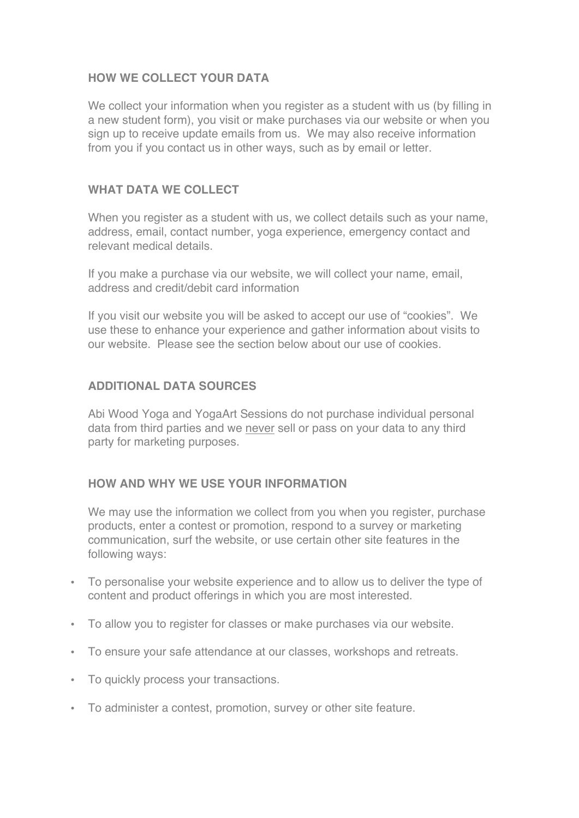# **HOW WE COLLECT YOUR DATA**

We collect your information when you register as a student with us (by filling in a new student form), you visit or make purchases via our website or when you sign up to receive update emails from us. We may also receive information from you if you contact us in other ways, such as by email or letter.

## **WHAT DATA WE COLLECT**

When you register as a student with us, we collect details such as your name, address, email, contact number, yoga experience, emergency contact and relevant medical details.

If you make a purchase via our website, we will collect your name, email, address and credit/debit card information

If you visit our website you will be asked to accept our use of "cookies". We use these to enhance your experience and gather information about visits to our website. Please see the section below about our use of cookies.

## **ADDITIONAL DATA SOURCES**

Abi Wood Yoga and YogaArt Sessions do not purchase individual personal data from third parties and we never sell or pass on your data to any third party for marketing purposes.

### **HOW AND WHY WE USE YOUR INFORMATION**

We may use the information we collect from you when you register, purchase products, enter a contest or promotion, respond to a survey or marketing communication, surf the website, or use certain other site features in the following ways:

- To personalise your website experience and to allow us to deliver the type of content and product offerings in which you are most interested.
- To allow you to register for classes or make purchases via our website.
- To ensure your safe attendance at our classes, workshops and retreats.
- To quickly process your transactions.
- To administer a contest, promotion, survey or other site feature.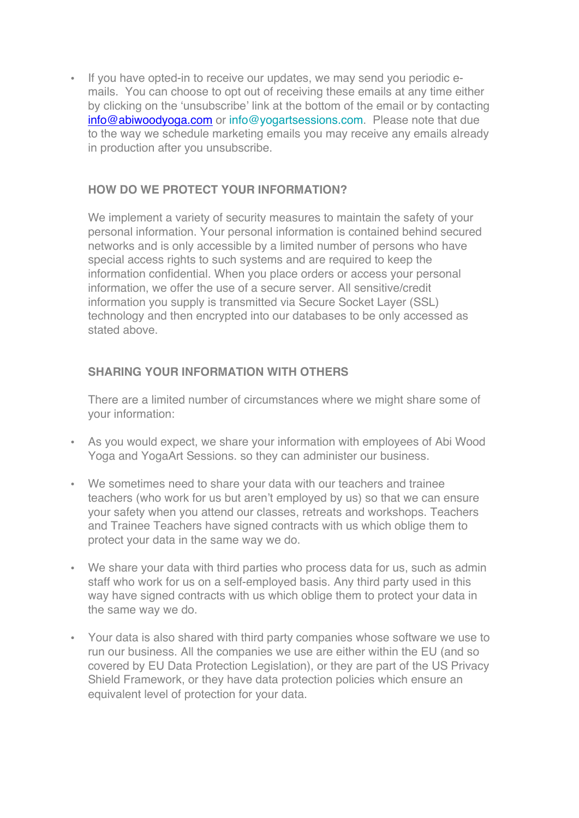• If you have opted-in to receive our updates, we may send you periodic emails. You can choose to opt out of receiving these emails at any time either by clicking on the 'unsubscribe' link at the bottom of the email or by contacting info@abiwoodyoga.com or info@yogartsessions.com. Please note that due to the way we schedule marketing emails you may receive any emails already in production after you unsubscribe.

## **HOW DO WE PROTECT YOUR INFORMATION?**

We implement a variety of security measures to maintain the safety of your personal information. Your personal information is contained behind secured networks and is only accessible by a limited number of persons who have special access rights to such systems and are required to keep the information confidential. When you place orders or access your personal information, we offer the use of a secure server. All sensitive/credit information you supply is transmitted via Secure Socket Layer (SSL) technology and then encrypted into our databases to be only accessed as stated above.

# **SHARING YOUR INFORMATION WITH OTHERS**

There are a limited number of circumstances where we might share some of your information:

- As you would expect, we share your information with employees of Abi Wood Yoga and YogaArt Sessions. so they can administer our business.
- We sometimes need to share your data with our teachers and trainee teachers (who work for us but aren't employed by us) so that we can ensure your safety when you attend our classes, retreats and workshops. Teachers and Trainee Teachers have signed contracts with us which oblige them to protect your data in the same way we do.
- We share your data with third parties who process data for us, such as admin staff who work for us on a self-employed basis. Any third party used in this way have signed contracts with us which oblige them to protect your data in the same way we do.
- Your data is also shared with third party companies whose software we use to run our business. All the companies we use are either within the EU (and so covered by EU Data Protection Legislation), or they are part of the US Privacy Shield Framework, or they have data protection policies which ensure an equivalent level of protection for your data.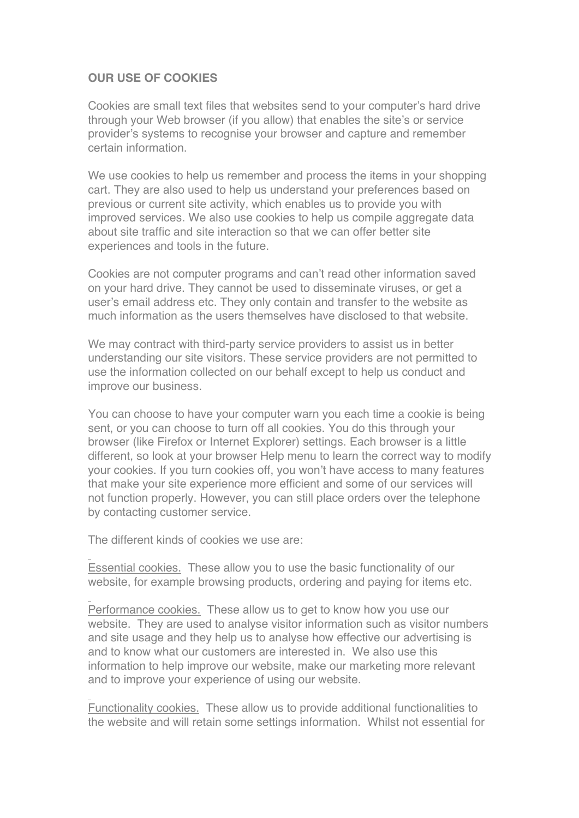# **OUR USE OF COOKIES**

Cookies are small text files that websites send to your computer's hard drive through your Web browser (if you allow) that enables the site's or service provider's systems to recognise your browser and capture and remember certain information.

We use cookies to help us remember and process the items in your shopping cart. They are also used to help us understand your preferences based on previous or current site activity, which enables us to provide you with improved services. We also use cookies to help us compile aggregate data about site traffic and site interaction so that we can offer better site experiences and tools in the future.

Cookies are not computer programs and can't read other information saved on your hard drive. They cannot be used to disseminate viruses, or get a user's email address etc. They only contain and transfer to the website as much information as the users themselves have disclosed to that website.

We may contract with third-party service providers to assist us in better understanding our site visitors. These service providers are not permitted to use the information collected on our behalf except to help us conduct and improve our business.

You can choose to have your computer warn you each time a cookie is being sent, or you can choose to turn off all cookies. You do this through your browser (like Firefox or Internet Explorer) settings. Each browser is a little different, so look at your browser Help menu to learn the correct way to modify your cookies. If you turn cookies off, you won't have access to many features that make your site experience more efficient and some of our services will not function properly. However, you can still place orders over the telephone by contacting customer service.

The different kinds of cookies we use are:

Essential cookies. These allow you to use the basic functionality of our website, for example browsing products, ordering and paying for items etc.

Performance cookies. These allow us to get to know how you use our website. They are used to analyse visitor information such as visitor numbers and site usage and they help us to analyse how effective our advertising is and to know what our customers are interested in. We also use this information to help improve our website, make our marketing more relevant and to improve your experience of using our website.

Functionality cookies. These allow us to provide additional functionalities to the website and will retain some settings information. Whilst not essential for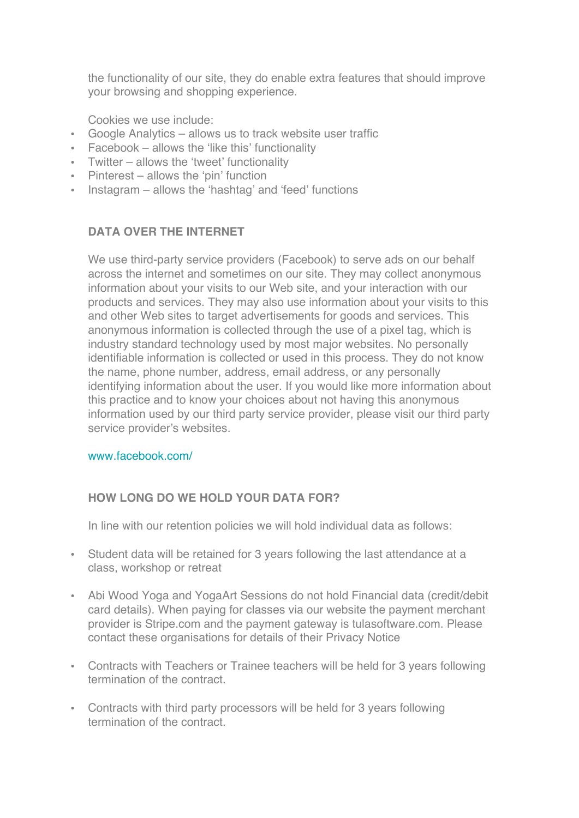the functionality of our site, they do enable extra features that should improve your browsing and shopping experience.

Cookies we use include:

- Google Analytics allows us to track website user traffic
- Facebook allows the 'like this' functionality
- Twitter allows the 'tweet' functionality
- Pinterest allows the 'pin' function
- Instagram allows the 'hashtag' and 'feed' functions

## **DATA OVER THE INTERNET**

We use third-party service providers (Facebook) to serve ads on our behalf across the internet and sometimes on our site. They may collect anonymous information about your visits to our Web site, and your interaction with our products and services. They may also use information about your visits to this and other Web sites to target advertisements for goods and services. This anonymous information is collected through the use of a pixel tag, which is industry standard technology used by most major websites. No personally identifiable information is collected or used in this process. They do not know the name, phone number, address, email address, or any personally identifying information about the user. If you would like more information about this practice and to know your choices about not having this anonymous information used by our third party service provider, please visit our third party service provider's websites.

#### www.facebook.com/

### **HOW LONG DO WE HOLD YOUR DATA FOR?**

In line with our retention policies we will hold individual data as follows:

- Student data will be retained for 3 years following the last attendance at a class, workshop or retreat
- Abi Wood Yoga and YogaArt Sessions do not hold Financial data (credit/debit card details). When paying for classes via our website the payment merchant provider is Stripe.com and the payment gateway is tulasoftware.com. Please contact these organisations for details of their Privacy Notice
- Contracts with Teachers or Trainee teachers will be held for 3 years following termination of the contract.
- Contracts with third party processors will be held for 3 years following termination of the contract.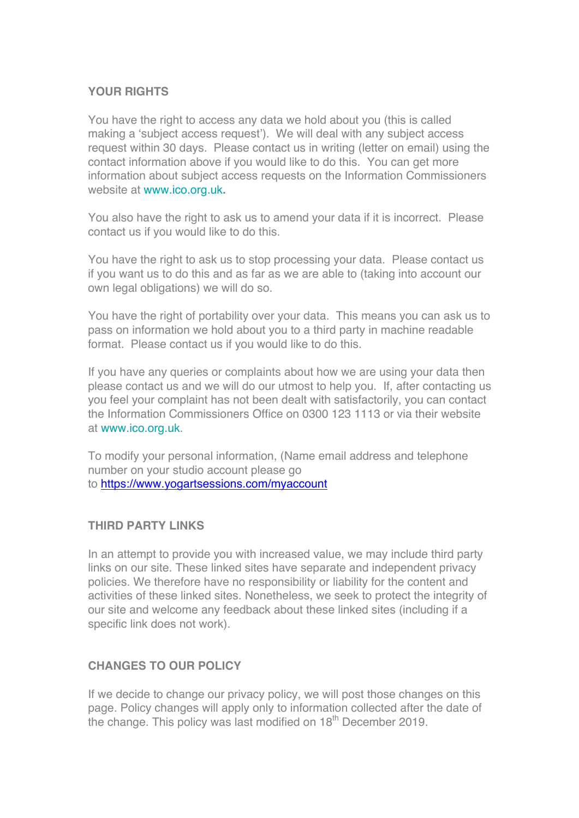### **YOUR RIGHTS**

You have the right to access any data we hold about you (this is called making a 'subject access request'). We will deal with any subject access request within 30 days. Please contact us in writing (letter on email) using the contact information above if you would like to do this. You can get more information about subject access requests on the Information Commissioners website at www.ico.org.uk**.**

You also have the right to ask us to amend your data if it is incorrect. Please contact us if you would like to do this.

You have the right to ask us to stop processing your data. Please contact us if you want us to do this and as far as we are able to (taking into account our own legal obligations) we will do so.

You have the right of portability over your data. This means you can ask us to pass on information we hold about you to a third party in machine readable format. Please contact us if you would like to do this.

If you have any queries or complaints about how we are using your data then please contact us and we will do our utmost to help you. If, after contacting us you feel your complaint has not been dealt with satisfactorily, you can contact the Information Commissioners Office on 0300 123 1113 or via their website at www.ico.org.uk.

To modify your personal information, (Name email address and telephone number on your studio account please go to https://www.yogartsessions.com/myaccount

### **THIRD PARTY LINKS**

In an attempt to provide you with increased value, we may include third party links on our site. These linked sites have separate and independent privacy policies. We therefore have no responsibility or liability for the content and activities of these linked sites. Nonetheless, we seek to protect the integrity of our site and welcome any feedback about these linked sites (including if a specific link does not work).

### **CHANGES TO OUR POLICY**

If we decide to change our privacy policy, we will post those changes on this page. Policy changes will apply only to information collected after the date of the change. This policy was last modified on 18<sup>th</sup> December 2019.